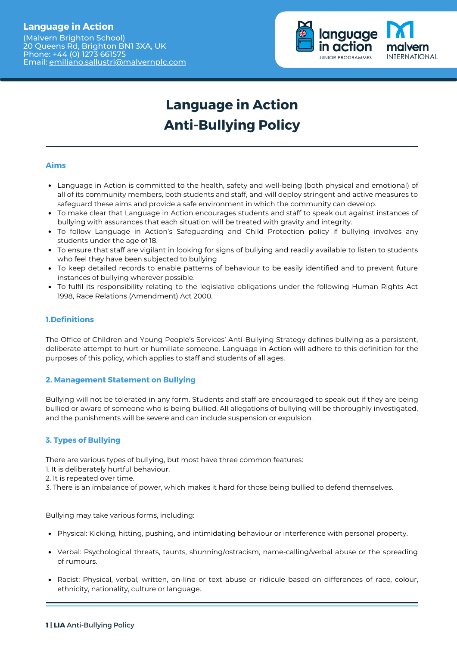# **Language in Action**

(Malvern Brighton School) 20 Queens Rd, Brighton BN1 3XA, UK Phone: +44 (0) 1273 661575 Email: [emiliano.sallustri@malvernplc.com](mailto:emiliano.sallustri@malvernplc.com)



# **Language in Action Anti-Bullying Policy**

# **Aims**

- Language in Action is committed to the health, safety and well-being (both physical and emotional) of all of its community members, both students and staff, and will deploy stringent and active measures to safeguard these aims and provide a safe environment in which the community can develop.
- To make clear that Language in Action encourages students and staff to speak out against instances of bullying with assurances that each situation will be treated with gravity and integrity.
- To follow Language in Action's Safeguarding and Child Protection policy if bullying involves any students under the age of 18.
- To ensure that staff are vigilant in looking for signs of bullying and readily available to listen to students who feel they have been subjected to bullying
- To keep detailed records to enable patterns of behaviour to be easily identified and to prevent future instances of bullying wherever possible.
- To fulfil its responsibility relating to the legislative obligations under the following Human Rights Act 1998, Race Relations (Amendment) Act 2000.

# **1.Definitions**

The Office of Children and Young People's Services' Anti-Bullying Strategy defines bullying as a persistent, deliberate attempt to hurt or humiliate someone. Language in Action will adhere to this definition for the purposes of this policy, which applies to staff and students of all ages.

# **2. Management Statement on Bullying**

Bullying will not be tolerated in any form. Students and staff are encouraged to speak out if they are being bullied or aware of someone who is being bullied. All allegations of bullying will be thoroughly investigated, and the punishments will be severe and can include suspension or expulsion.

# **3. Types of Bullying**

There are various types of bullying, but most have three common features:

- 1. It is deliberately hurtful behaviour.
- 2. It is repeated over time.
- 3. There is an imbalance of power, which makes it hard for those being bullied to defend themselves.

Bullying may take various forms, including:

- Physical: Kicking, hitting, pushing, and intimidating behaviour or interference with personal property.
- Verbal: Psychological threats, taunts, shunning/ostracism, name-calling/verbal abuse or the spreading of rumours.
- Racist: Physical, verbal, written, on-line or text abuse or ridicule based on differences of race, colour, ethnicity, nationality, culture or language.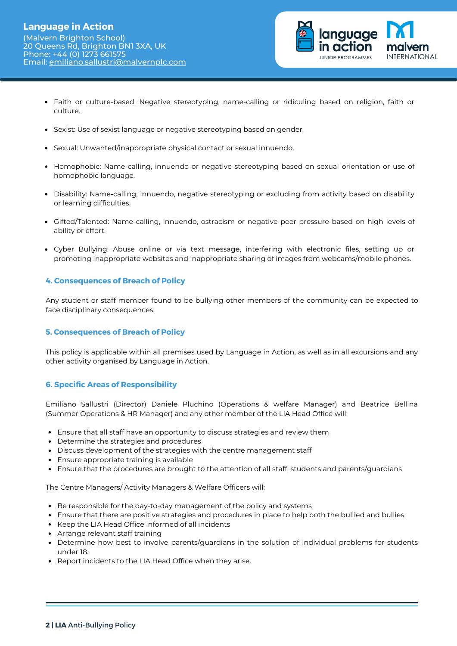

- Faith or culture-based: Negative stereotyping, name-calling or ridiculing based on religion, faith or culture.
- Sexist: Use of sexist language or negative stereotyping based on gender.
- Sexual: Unwanted/inappropriate physical contact or sexual innuendo.
- Homophobic: Name-calling, innuendo or negative stereotyping based on sexual orientation or use of homophobic language.
- Disability: Name-calling, innuendo, negative stereotyping or excluding from activity based on disability or learning difficulties.
- Gifted/Talented: Name-calling, innuendo, ostracism or negative peer pressure based on high levels of ability or effort.
- Cyber Bullying: Abuse online or via text message, interfering with electronic files, setting up or promoting inappropriate websites and inappropriate sharing of images from webcams/mobile phones.

#### **4. Consequences of Breach of Policy**

Any student or staff member found to be bullying other members of the community can be expected to face disciplinary consequences.

# **5. Consequences of Breach of Policy**

This policy is applicable within all premises used by Language in Action, as well as in all excursions and any other activity organised by Language in Action.

# **6. Specific Areas of Responsibility**

Emiliano Sallustri (Director) Daniele Pluchino (Operations & welfare Manager) and Beatrice Bellina (Summer Operations & HR Manager) and any other member of the LIA Head Office will:

- Ensure that all staff have an opportunity to discuss strategies and review them
- Determine the strategies and procedures
- Discuss development of the strategies with the centre management staff
- Ensure appropriate training is available
- Ensure that the procedures are brought to the attention of all staff, students and parents/guardians

The Centre Managers/ Activity Managers & Welfare Officers will:

- Be responsible for the day-to-day management of the policy and systems
- Ensure that there are positive strategies and procedures in place to help both the bullied and bullies
- Keep the LIA Head Office informed of all incidents
- Arrange relevant staff training
- Determine how best to involve parents/guardians in the solution of individual problems for students under 18.
- Report incidents to the LIA Head Office when they arise.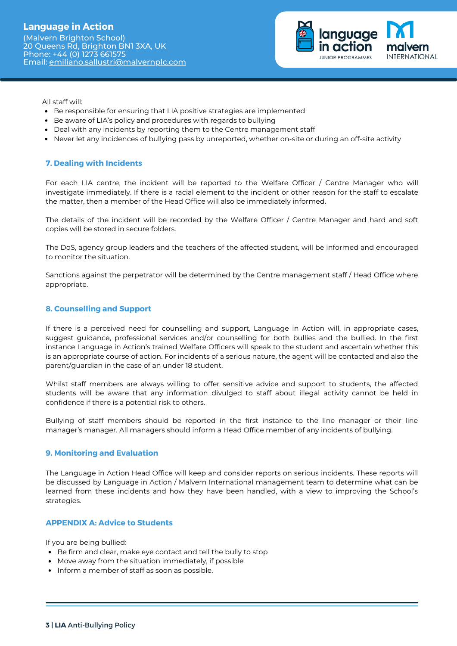

All staff will:

- Be responsible for ensuring that LIA positive strategies are implemented
- Be aware of LIA's policy and procedures with regards to bullying
- Deal with any incidents by reporting them to the Centre management staff
- Never let any incidences of bullying pass by unreported, whether on-site or during an off-site activity

#### **7. Dealing with Incidents**

For each LIA centre, the incident will be reported to the Welfare Officer / Centre Manager who will investigate immediately. If there is a racial element to the incident or other reason for the staff to escalate the matter, then a member of the Head Office will also be immediately informed.

The details of the incident will be recorded by the Welfare Officer / Centre Manager and hard and soft copies will be stored in secure folders.

The DoS, agency group leaders and the teachers of the affected student, will be informed and encouraged to monitor the situation.

Sanctions against the perpetrator will be determined by the Centre management staff / Head Office where appropriate.

#### **8. Counselling and Support**

If there is a perceived need for counselling and support, Language in Action will, in appropriate cases, suggest guidance, professional services and/or counselling for both bullies and the bullied. In the first instance Language in Action's trained Welfare Officers will speak to the student and ascertain whether this is an appropriate course of action. For incidents of a serious nature, the agent will be contacted and also the parent/guardian in the case of an under 18 student.

Whilst staff members are always willing to offer sensitive advice and support to students, the affected students will be aware that any information divulged to staff about illegal activity cannot be held in confidence if there is a potential risk to others.

Bullying of staff members should be reported in the first instance to the line manager or their line manager's manager. All managers should inform a Head Office member of any incidents of bullying.

#### **9. Monitoring and Evaluation**

The Language in Action Head Office will keep and consider reports on serious incidents. These reports will be discussed by Language in Action / Malvern International management team to determine what can be learned from these incidents and how they have been handled, with a view to improving the School's strategies.

#### **APPENDIX A: Advice to Students**

If you are being bullied:

- Be firm and clear, make eye contact and tell the bully to stop
- Move away from the situation immediately, if possible
- Inform a member of staff as soon as possible.